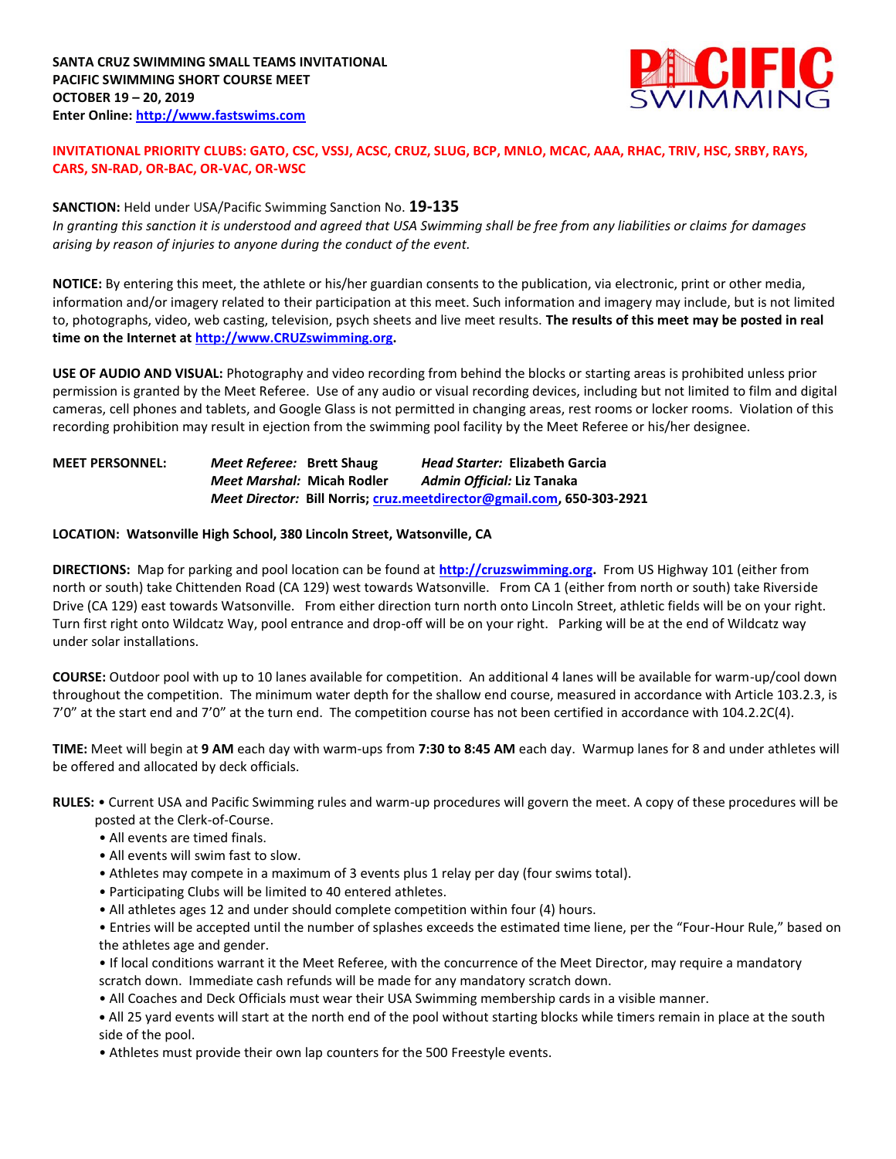

# **INVITATIONAL PRIORITY CLUBS: GATO, CSC, VSSJ, ACSC, CRUZ, SLUG, BCP, MNLO, MCAC, AAA, RHAC, TRIV, HSC, SRBY, RAYS, CARS, SN-RAD, OR-BAC, OR-VAC, OR-WSC**

# **SANCTION:** Held under USA/Pacific Swimming Sanction No. **19-135**

*In granting this sanction it is understood and agreed that USA Swimming shall be free from any liabilities or claims for damages arising by reason of injuries to anyone during the conduct of the event.* 

**NOTICE:** By entering this meet, the athlete or his/her guardian consents to the publication, via electronic, print or other media, information and/or imagery related to their participation at this meet. Such information and imagery may include, but is not limited to, photographs, video, web casting, television, psych sheets and live meet results. **The results of this meet may be posted in real time on the Internet a[t http://www.CRUZswimming.org.](http://www.cruzswimming.org/)**

**USE OF AUDIO AND VISUAL:** Photography and video recording from behind the blocks or starting areas is prohibited unless prior permission is granted by the Meet Referee. Use of any audio or visual recording devices, including but not limited to film and digital cameras, cell phones and tablets, and Google Glass is not permitted in changing areas, rest rooms or locker rooms. Violation of this recording prohibition may result in ejection from the swimming pool facility by the Meet Referee or his/her designee.

# **MEET PERSONNEL:** *Meet Referee:* **Brett Shaug** *Head Starter:* **Elizabeth Garcia** *Meet Marshal:* **Micah Rodler** *Admin Official:* **Liz Tanaka** *Meet Director:* **Bill Norris; [cruz.meetdirector@gmail.com,](mailto:cruz.meetdirector@gmail.com) 650-303-2921**

### **LOCATION: Watsonville High School, 380 Lincoln Street, Watsonville, CA**

**DIRECTIONS:** Map for parking and pool location can be found at **[http://cruzswimming.org.](http://cruzswimming.org/)** From US Highway 101 (either from north or south) take Chittenden Road (CA 129) west towards Watsonville. From CA 1 (either from north or south) take Riverside Drive (CA 129) east towards Watsonville. From either direction turn north onto Lincoln Street, athletic fields will be on your right. Turn first right onto Wildcatz Way, pool entrance and drop-off will be on your right. Parking will be at the end of Wildcatz way under solar installations.

**COURSE:** Outdoor pool with up to 10 lanes available for competition. An additional 4 lanes will be available for warm-up/cool down throughout the competition. The minimum water depth for the shallow end course, measured in accordance with Article 103.2.3, is 7'0" at the start end and 7'0" at the turn end. The competition course has not been certified in accordance with 104.2.2C(4).

**TIME:** Meet will begin at **9 AM** each day with warm-ups from **7:30 to 8:45 AM** each day. Warmup lanes for 8 and under athletes will be offered and allocated by deck officials.

# **RULES:** • Current USA and Pacific Swimming rules and warm-up procedures will govern the meet. A copy of these procedures will be

- posted at the Clerk-of-Course.
- All events are timed finals.
- All events will swim fast to slow.
- Athletes may compete in a maximum of 3 events plus 1 relay per day (four swims total).
- Participating Clubs will be limited to 40 entered athletes.
- All athletes ages 12 and under should complete competition within four (4) hours.
- Entries will be accepted until the number of splashes exceeds the estimated time liene, per the "Four-Hour Rule," based on the athletes age and gender.
- If local conditions warrant it the Meet Referee, with the concurrence of the Meet Director, may require a mandatory scratch down. Immediate cash refunds will be made for any mandatory scratch down.
- All Coaches and Deck Officials must wear their USA Swimming membership cards in a visible manner.
- **•** All 25 yard events will start at the north end of the pool without starting blocks while timers remain in place at the south side of the pool.
- Athletes must provide their own lap counters for the 500 Freestyle events.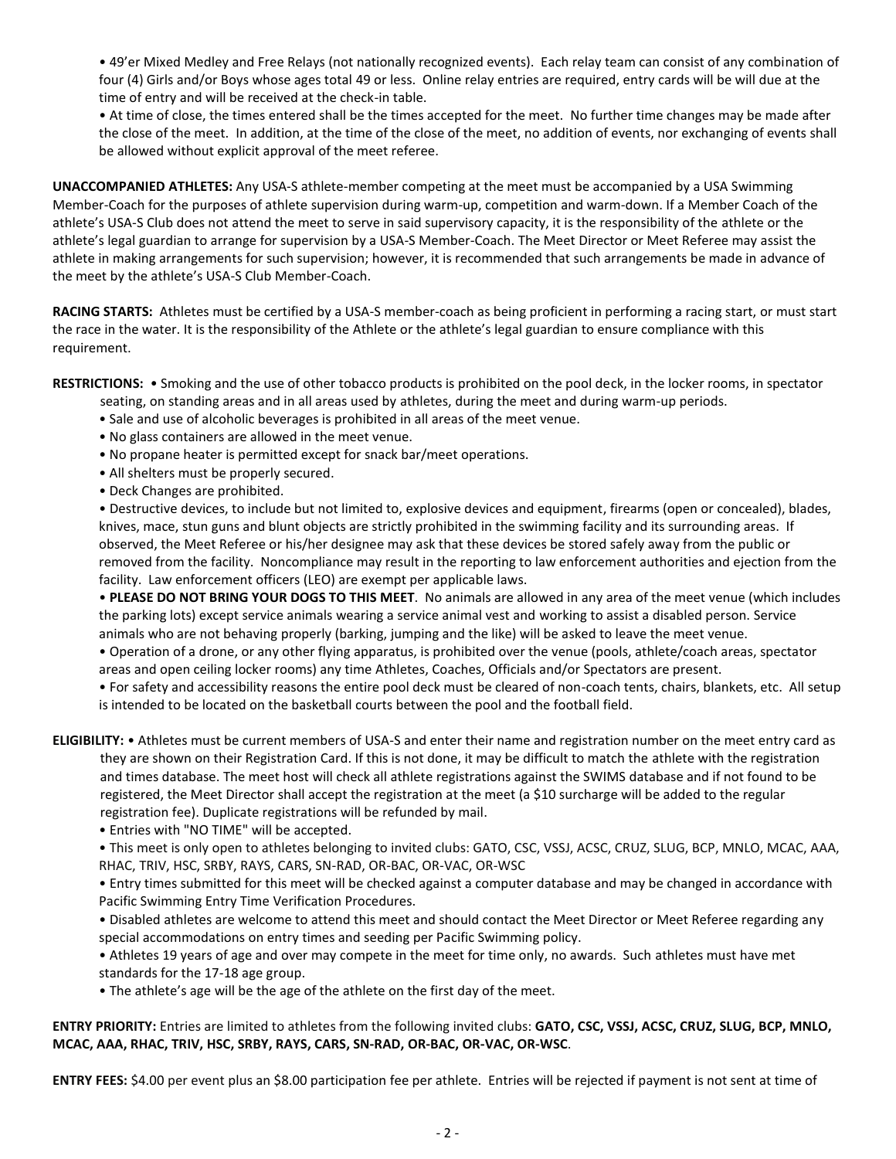• 49'er Mixed Medley and Free Relays (not nationally recognized events). Each relay team can consist of any combination of four (4) Girls and/or Boys whose ages total 49 or less. Online relay entries are required, entry cards will be will due at the time of entry and will be received at the check-in table.

• At time of close, the times entered shall be the times accepted for the meet. No further time changes may be made after the close of the meet. In addition, at the time of the close of the meet, no addition of events, nor exchanging of events shall be allowed without explicit approval of the meet referee.

**UNACCOMPANIED ATHLETES:** Any USA-S athlete-member competing at the meet must be accompanied by a USA Swimming Member-Coach for the purposes of athlete supervision during warm-up, competition and warm-down. If a Member Coach of the athlete's USA-S Club does not attend the meet to serve in said supervisory capacity, it is the responsibility of the athlete or the athlete's legal guardian to arrange for supervision by a USA-S Member-Coach. The Meet Director or Meet Referee may assist the athlete in making arrangements for such supervision; however, it is recommended that such arrangements be made in advance of the meet by the athlete's USA-S Club Member-Coach.

**RACING STARTS:** Athletes must be certified by a USA-S member-coach as being proficient in performing a racing start, or must start the race in the water. It is the responsibility of the Athlete or the athlete's legal guardian to ensure compliance with this requirement.

**RESTRICTIONS:** • Smoking and the use of other tobacco products is prohibited on the pool deck, in the locker rooms, in spectator

- seating, on standing areas and in all areas used by athletes, during the meet and during warm-up periods.
- Sale and use of alcoholic beverages is prohibited in all areas of the meet venue.
- No glass containers are allowed in the meet venue.
- No propane heater is permitted except for snack bar/meet operations.
- All shelters must be properly secured.
- Deck Changes are prohibited.

• Destructive devices, to include but not limited to, explosive devices and equipment, firearms (open or concealed), blades, knives, mace, stun guns and blunt objects are strictly prohibited in the swimming facility and its surrounding areas. If observed, the Meet Referee or his/her designee may ask that these devices be stored safely away from the public or removed from the facility. Noncompliance may result in the reporting to law enforcement authorities and ejection from the facility. Law enforcement officers (LEO) are exempt per applicable laws.

• **PLEASE DO NOT BRING YOUR DOGS TO THIS MEET**. No animals are allowed in any area of the meet venue (which includes the parking lots) except service animals wearing a service animal vest and working to assist a disabled person. Service animals who are not behaving properly (barking, jumping and the like) will be asked to leave the meet venue. • Operation of a drone, or any other flying apparatus, is prohibited over the venue (pools, athlete/coach areas, spectator

areas and open ceiling locker rooms) any time Athletes, Coaches, Officials and/or Spectators are present.

• For safety and accessibility reasons the entire pool deck must be cleared of non-coach tents, chairs, blankets, etc. All setup is intended to be located on the basketball courts between the pool and the football field.

**ELIGIBILITY:** • Athletes must be current members of USA-S and enter their name and registration number on the meet entry card as they are shown on their Registration Card. If this is not done, it may be difficult to match the athlete with the registration and times database. The meet host will check all athlete registrations against the SWIMS database and if not found to be registered, the Meet Director shall accept the registration at the meet (a \$10 surcharge will be added to the regular registration fee). Duplicate registrations will be refunded by mail.

• Entries with "NO TIME" will be accepted.

• This meet is only open to athletes belonging to invited clubs: GATO, CSC, VSSJ, ACSC, CRUZ, SLUG, BCP, MNLO, MCAC, AAA, RHAC, TRIV, HSC, SRBY, RAYS, CARS, SN-RAD, OR-BAC, OR-VAC, OR-WSC

• Entry times submitted for this meet will be checked against a computer database and may be changed in accordance with Pacific Swimming Entry Time Verification Procedures.

• Disabled athletes are welcome to attend this meet and should contact the Meet Director or Meet Referee regarding any special accommodations on entry times and seeding per Pacific Swimming policy.

• Athletes 19 years of age and over may compete in the meet for time only, no awards. Such athletes must have met standards for the 17-18 age group.

• The athlete's age will be the age of the athlete on the first day of the meet.

# **ENTRY PRIORITY:** Entries are limited to athletes from the following invited clubs: **GATO, CSC, VSSJ, ACSC, CRUZ, SLUG, BCP, MNLO, MCAC, AAA, RHAC, TRIV, HSC, SRBY, RAYS, CARS, SN-RAD, OR-BAC, OR-VAC, OR-WSC**.

**ENTRY FEES:** \$4.00 per event plus an \$8.00 participation fee per athlete. Entries will be rejected if payment is not sent at time of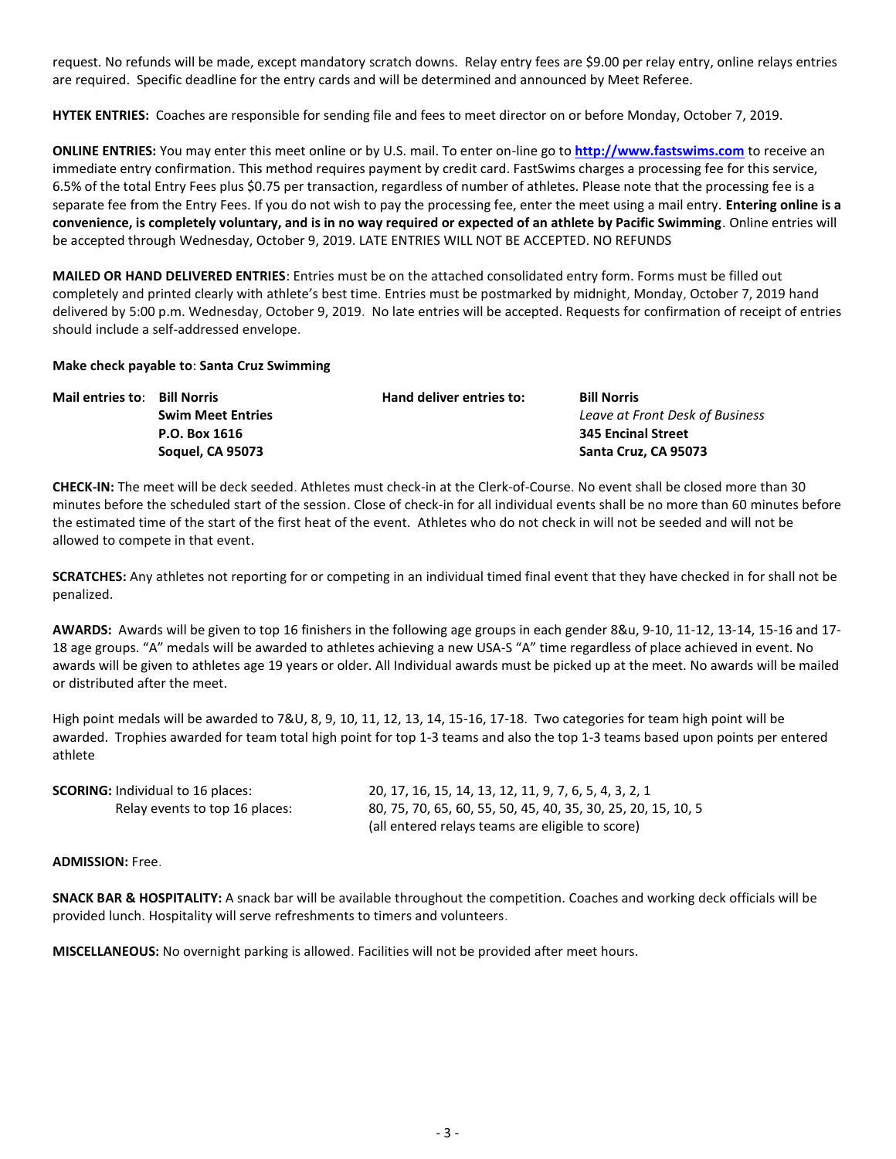request. No refunds will be made, except mandatory scratch downs. Relay entry fees are \$9.00 per relay entry, online relays entries are required. Specific deadline for the entry cards and will be determined and announced by Meet Referee.

**HYTEK ENTRIES:** Coaches are responsible for sending file and fees to meet director on or before Monday, October 7, 2019.

**ONLINE ENTRIES:** You may enter this meet online or by U.S. mail. To enter on-line go to **[http://www.fastswims.com](http://www.fastswims.com/)** to receive an immediate entry confirmation. This method requires payment by credit card. FastSwims charges a processing fee for this service, 6.5% of the total Entry Fees plus \$0.75 per transaction, regardless of number of athletes. Please note that the processing fee is a separate fee from the Entry Fees. If you do not wish to pay the processing fee, enter the meet using a mail entry. **Entering online is a convenience, is completely voluntary, and is in no way required or expected of an athlete by Pacific Swimming**. Online entries will be accepted through Wednesday, October 9, 2019. LATE ENTRIES WILL NOT BE ACCEPTED. NO REFUNDS

**MAILED OR HAND DELIVERED ENTRIES**: Entries must be on the attached consolidated entry form. Forms must be filled out completely and printed clearly with athlete's best time. Entries must be postmarked by midnight, Monday, October 7, 2019 hand delivered by 5:00 p.m. Wednesday, October 9, 2019. No late entries will be accepted. Requests for confirmation of receipt of entries should include a self-addressed envelope.

### **Make check payable to**: **Santa Cruz Swimming**

| <b>Mail entries to: Bill Norris</b> |                          | Hand deliver entries to: | <b>Bill Norris</b>              |  |  |  |
|-------------------------------------|--------------------------|--------------------------|---------------------------------|--|--|--|
|                                     | <b>Swim Meet Entries</b> |                          | Leave at Front Desk of Business |  |  |  |
|                                     | P.O. Box 1616            |                          | <b>345 Encinal Street</b>       |  |  |  |
|                                     | <b>Soquel, CA 95073</b>  |                          | Santa Cruz, CA 95073            |  |  |  |

**CHECK-IN:** The meet will be deck seeded. Athletes must check-in at the Clerk-of-Course. No event shall be closed more than 30 minutes before the scheduled start of the session. Close of check-in for all individual events shall be no more than 60 minutes before the estimated time of the start of the first heat of the event. Athletes who do not check in will not be seeded and will not be allowed to compete in that event.

**SCRATCHES:** Any athletes not reporting for or competing in an individual timed final event that they have checked in for shall not be penalized.

**AWARDS:** Awards will be given to top 16 finishers in the following age groups in each gender 8&u, 9-10, 11-12, 13-14, 15-16 and 17- 18 age groups. "A" medals will be awarded to athletes achieving a new USA-S "A" time regardless of place achieved in event. No awards will be given to athletes age 19 years or older. All Individual awards must be picked up at the meet. No awards will be mailed or distributed after the meet.

High point medals will be awarded to 7&U, 8, 9, 10, 11, 12, 13, 14, 15-16, 17-18. Two categories for team high point will be awarded. Trophies awarded for team total high point for top 1-3 teams and also the top 1-3 teams based upon points per entered athlete

| <b>SCORING:</b> Individual to 16 places: | 20, 17, 16, 15, 14, 13, 12, 11, 9, 7, 6, 5, 4, 3, 2, 1        |
|------------------------------------------|---------------------------------------------------------------|
| Relay events to top 16 places:           | 80, 75, 70, 65, 60, 55, 50, 45, 40, 35, 30, 25, 20, 15, 10, 5 |
|                                          | (all entered relays teams are eligible to score)              |

**ADMISSION:** Free.

**SNACK BAR & HOSPITALITY:** A snack bar will be available throughout the competition. Coaches and working deck officials will be provided lunch. Hospitality will serve refreshments to timers and volunteers.

**MISCELLANEOUS:** No overnight parking is allowed. Facilities will not be provided after meet hours.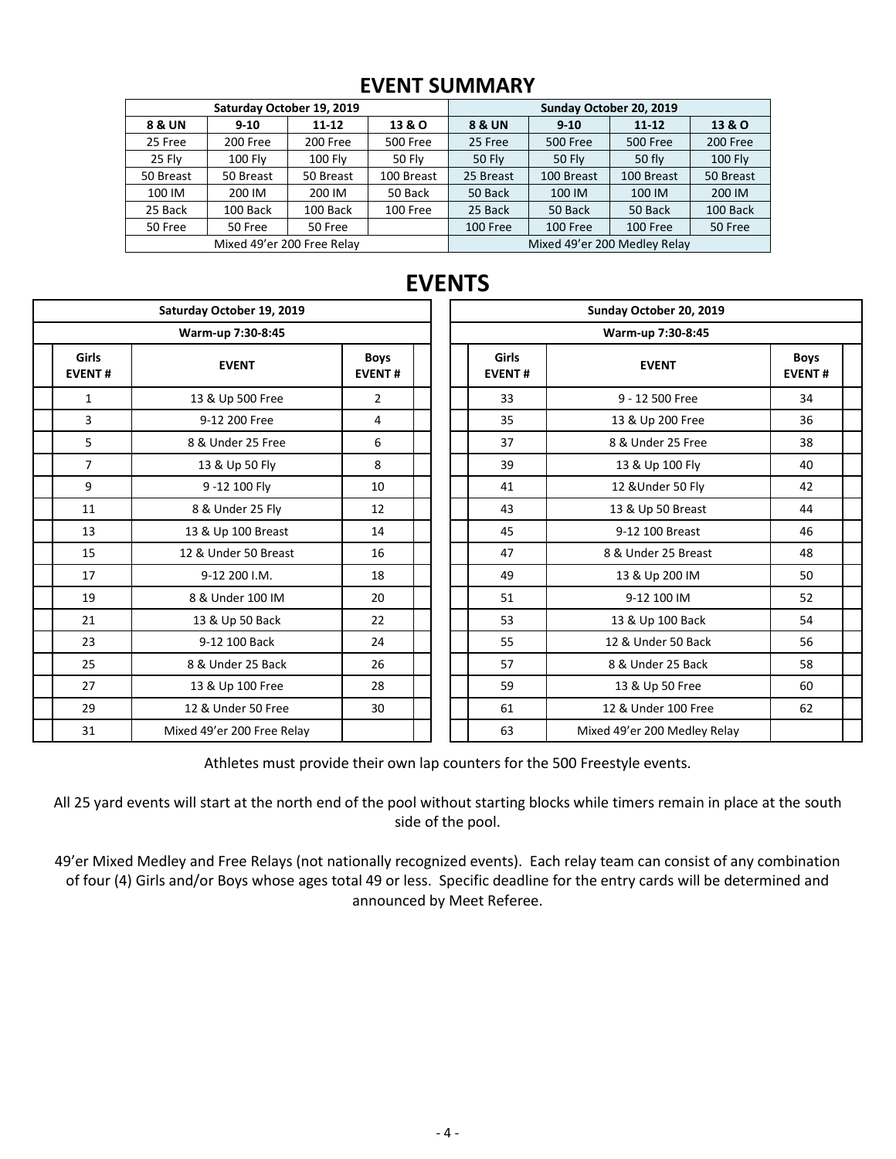# **EVENT SUMMARY**

|           | Saturday October 19, 2019  |                |                 | Sunday October 20, 2019      |               |                 |                |  |  |
|-----------|----------------------------|----------------|-----------------|------------------------------|---------------|-----------------|----------------|--|--|
| 8 & UN    | $9 - 10$                   | $11 - 12$      | 13 & O          | <b>8 &amp; UN</b>            | $9 - 10$      | $11 - 12$       | 13 & O         |  |  |
| 25 Free   | 200 Free                   | 200 Free       | <b>500 Free</b> | 25 Free                      | 500 Free      | <b>500 Free</b> | 200 Free       |  |  |
| 25 Flv    | 100 Flv                    | <b>100 Flv</b> | 50 Fly          | <b>50 Flv</b>                | <b>50 Fly</b> | 50 fly          | <b>100 Fly</b> |  |  |
| 50 Breast | 50 Breast                  | 50 Breast      | 100 Breast      | 25 Breast                    | 100 Breast    | 100 Breast      | 50 Breast      |  |  |
| 100 IM    | 200 IM                     | 200 IM         | 50 Back         | 50 Back                      | 100 IM        | 100 IM          | 200 IM         |  |  |
| 25 Back   | 100 Back                   | 100 Back       | 100 Free        | 25 Back                      | 50 Back       | 50 Back         | 100 Back       |  |  |
| 50 Free   | 50 Free                    | 50 Free        |                 | 100 Free                     | 100 Free      | 100 Free        | 50 Free        |  |  |
|           | Mixed 49'er 200 Free Relay |                |                 | Mixed 49'er 200 Medley Relay |               |                 |                |  |  |

|                               |                | Saturday October 19, 2019  |                              |  | Sunday October 20, 2019<br>Warm-up 7:30-8:45 |                        |                              |                             |  |  |  |
|-------------------------------|----------------|----------------------------|------------------------------|--|----------------------------------------------|------------------------|------------------------------|-----------------------------|--|--|--|
|                               |                | Warm-up 7:30-8:45          |                              |  |                                              |                        |                              |                             |  |  |  |
| <b>Girls</b><br><b>EVENT#</b> |                | <b>EVENT</b>               | <b>Boys</b><br><b>EVENT#</b> |  |                                              | Girls<br><b>EVENT#</b> | <b>EVENT</b>                 | <b>Boys</b><br><b>EVENT</b> |  |  |  |
|                               | 1              | 13 & Up 500 Free           | $\overline{2}$               |  |                                              | 33                     | 9 - 12 500 Free              | 34                          |  |  |  |
|                               | 3              | 9-12 200 Free              | 4                            |  |                                              | 35                     | 13 & Up 200 Free             | 36                          |  |  |  |
|                               | 5              | 8 & Under 25 Free          | 6                            |  |                                              | 37                     | 8 & Under 25 Free            | 38                          |  |  |  |
|                               | $\overline{7}$ | 13 & Up 50 Fly             | 8                            |  |                                              | 39                     | 13 & Up 100 Fly              | 40                          |  |  |  |
|                               | 9              | 9-12 100 Fly               | 10                           |  |                                              | 41                     | 12 & Under 50 Fly            | 42                          |  |  |  |
|                               | 11             | 8 & Under 25 Fly           | 12                           |  |                                              | 43                     | 13 & Up 50 Breast            | 44                          |  |  |  |
|                               | 13             | 13 & Up 100 Breast         | 14                           |  |                                              | 45                     | 9-12 100 Breast              | 46                          |  |  |  |
|                               | 15             | 12 & Under 50 Breast       | 16                           |  |                                              | 47                     | 8 & Under 25 Breast          | 48                          |  |  |  |
|                               | 17             | 9-12 200 I.M.              | 18                           |  |                                              | 49                     | 13 & Up 200 IM               | 50                          |  |  |  |
|                               | 19             | 8 & Under 100 IM           | 20                           |  |                                              | 51                     | 9-12 100 IM                  | 52                          |  |  |  |
|                               | 21             | 13 & Up 50 Back            | 22                           |  |                                              | 53                     | 13 & Up 100 Back             | 54                          |  |  |  |
|                               | 23             | 9-12 100 Back              | 24                           |  |                                              | 55                     | 12 & Under 50 Back           | 56                          |  |  |  |
|                               | 25             | 8 & Under 25 Back          | 26                           |  |                                              | 57                     | 8 & Under 25 Back            | 58                          |  |  |  |
|                               | 27             | 13 & Up 100 Free           | 28                           |  |                                              | 59                     | 13 & Up 50 Free              | 60                          |  |  |  |
|                               | 29             | 12 & Under 50 Free         | 30                           |  |                                              | 61                     | 12 & Under 100 Free          | 62                          |  |  |  |
|                               | 31             | Mixed 49'er 200 Free Relay |                              |  |                                              | 63                     | Mixed 49'er 200 Medley Relay |                             |  |  |  |

# **EVENTS**

**EVENT #**

Athletes must provide their own lap counters for the 500 Freestyle events.

All 25 yard events will start at the north end of the pool without starting blocks while timers remain in place at the south side of the pool.

49'er Mixed Medley and Free Relays (not nationally recognized events). Each relay team can consist of any combination of four (4) Girls and/or Boys whose ages total 49 or less. Specific deadline for the entry cards will be determined and announced by Meet Referee.